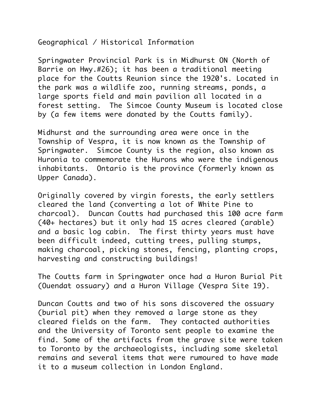Geographical / Historical Information

Springwater Provincial Park is in Midhurst ON (North of Barrie on Hwy.#26); it has been a traditional meeting place for the Coutts Reunion since the 1920's. Located in the park was a wildlife zoo, running streams, ponds, a large sports field and main pavilion all located in a forest setting. The Simcoe County Museum is located close by (a few items were donated by the Coutts family).

Midhurst and the surrounding area were once in the Township of Vespra, it is now known as the Township of Springwater. Simcoe County is the region, also known as Huronia to commemorate the Hurons who were the indigenous inhabitants. Ontario is the province (formerly known as Upper Canada).

Originally covered by virgin forests, the early settlers cleared the land (converting a lot of White Pine to charcoal). Duncan Coutts had purchased this 100 acre farm (40+ hectares) but it only had 15 acres cleared (arable) and a basic log cabin. The first thirty years must have been difficult indeed, cutting trees, pulling stumps, making charcoal, picking stones, fencing, planting crops, harvesting and constructing buildings!

The Coutts farm in Springwater once had a Huron Burial Pit (Ouendat ossuary) and a Huron Village (Vespra Site 19).

Duncan Coutts and two of his sons discovered the ossuary (burial pit) when they removed a large stone as they cleared fields on the farm. They contacted authorities and the University of Toronto sent people to examine the find. Some of the artifacts from the grave site were taken to Toronto by the archaeologists, including some skeletal remains and several items that were rumoured to have made it to a museum collection in London England.